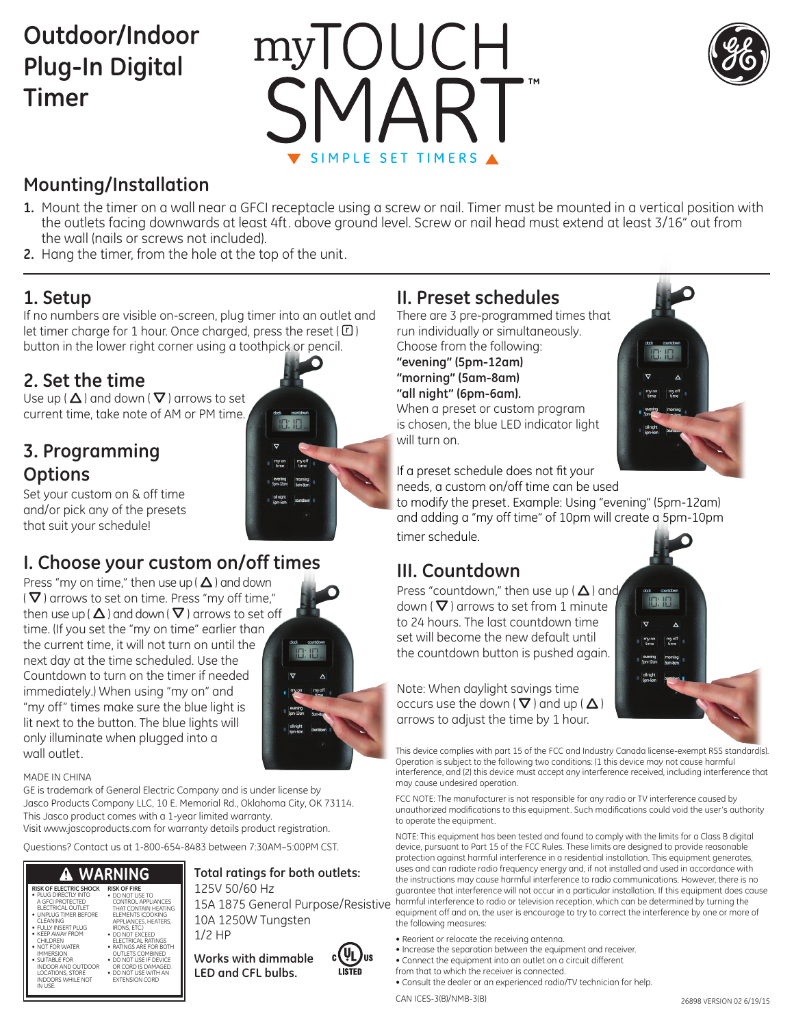# **Outdoor/Indoor Plug-In Digital Timer**





## **Mounting/Installation**

- **1.** Mount the timer on a wall near a GFCI receptacle using a screw or nail. Timer must be mounted in a vertical position with the outlets facing downwards at least 4ft. above ground level. Screw or nail head must extend at least 3/16" out from the wall (nails or screws not included).
- **2.** Hang the timer, from the hole at the top of the unit.

### **1. Setup**

If no numbers are visible on-screen, plug timer into an outlet and let timer charge for 1 hour. Once charged, press the reset  $(\Box)$ button in the lower right corner using a toothpick or pencil.

### **2. Set the time**

Use up ( $\Delta$ ) and down ( $\nabla$ ) arrows to set current time, take note of AM or PM time.

### **3. Programming Options**



Set your custom on & off time and/or pick any of the presets that suit your schedule!

### **I. Choose your custom on/off times**

Press "my on time," then use up ( $\Delta$ ) and down  $(\nabla)$  arrows to set on time. Press "my off time," then use up ( $\Delta$ ) and down ( $\nabla$ ) arrows to set off time. (If you set the "my on time" earlier than the current time, it will not turn on until the next day at the time scheduled. Use the Countdown to turn on the timer if needed immediately.) When using "my on" and "my off" times make sure the blue light is lit next to the button. The blue lights will only illuminate when plugged into a wall outlet.



### MADE IN CHINA

CLEANING • FULLY INSERT PLUG • KEEP AWAY FROM CHILDREN • NOT FOR WATER IMMERSION • SUITABLE FOR INDOOR AND OUTDOOR LOCATIONS, STORE<br>INDOORS WHILE NOT<br>IN USE.

GE is trademark of General Electric Company and is under license by Jasco Products Company LLC, 10 E. Memorial Rd., Oklahoma City, OK 73114. This Jasco product comes with a 1-year limited warranty.

Visit www.jascoproducts.com for warranty details product registration.

Questions? Contact us at 1-800-654-8483 between 7:30AM–5:00PM CST.

#### **WARNING RISK OF ELECTRIC SHOCK RISK OF FIRE** • PLUG DIRECTLY INTO A GFCI PROTECTED ELECTRICAL OUTLET • UNPLUG TIMER BEFORE • DO NOT USE TO CONTROL APPLIANCES THAT CONTAIN HEATING

ELEMENTS (COOKING APPLIANCES, HEATERS, IRONS, ETC.) • DO NOT EXCEED ELECTRICAL RATINGS • RATINGS ARE FOR BOTH OUTLETS COMBINED • DO NOT USE IF DEVICE OR CORD IS DAMAGED. • DO NOT USE WITH AN EXTENSION CORD

### **Total ratings for both outlets:** 125V 50/60 Hz

10A 1250W Tungsten 1/2 HP

**Works with dimmable LED and CFL bulbs.**



### **II. Preset schedules**

There are 3 pre-programmed times that run individually or simultaneously. Choose from the following: **"evening" (5pm-12am) "morning" (5am-8am) "all night" (6pm-6am).**  When a preset or custom program is chosen, the blue LED indicator light will turn on.



If a preset schedule does not fit your needs, a custom on/off time can be used

to modify the preset. Example: Using "evening" (5pm-12am) and adding a "my off time" of 10pm will create a 5pm-10pm timer schedule.

### **III. Countdown**

Press "countdown," then use up ( $\Delta$ ) and down ( $\nabla$ ) arrows to set from 1 minute to 24 hours. The last countdown time set will become the new default until the countdown button is pushed again.



Note: When daylight savings time occurs use the down ( $\nabla$ ) and up ( $\Delta$ ) arrows to adjust the time by 1 hour.

This device complies with part 15 of the FCC and Industry Canada license-exempt RSS standard(s). Operation is subject to the following two conditions: (1 this device may not cause harmful interference, and (2) this device must accept any interference received, including interference that may cause undesired operation.

FCC NOTE: The manufacturer is not responsible for any radio or TV interference caused by unauthorized modifications to this equipment. Such modifications could void the user's authority to operate the equipment.

15A 1875 General Purpose/Resistive harmful interference to radio or television reception, which can be determined by turning the NOTE: This equipment has been tested and found to comply with the limits for a Class B digital device, pursuant to Part 15 of the FCC Rules. These limits are designed to provide reasonable protection against harmful interference in a residential installation. This equipment generates, uses and can radiate radio frequency energy and, if not installed and used in accordance with the instructions may cause harmful interference to radio communications. However, there is no guarantee that interference will not occur in a particular installation. If this equipment does cause equipment off and on, the user is encourage to try to correct the interference by one or more of the following measures:

- Reorient or relocate the receiving antenna.
- Increase the separation between the equipment and receiver.
- Connect the equipment into an outlet on a circuit different
- from that to which the receiver is connected.
- Consult the dealer or an experienced radio/TV technician for help.

CAN ICES-3(B)/NMB-3(B)